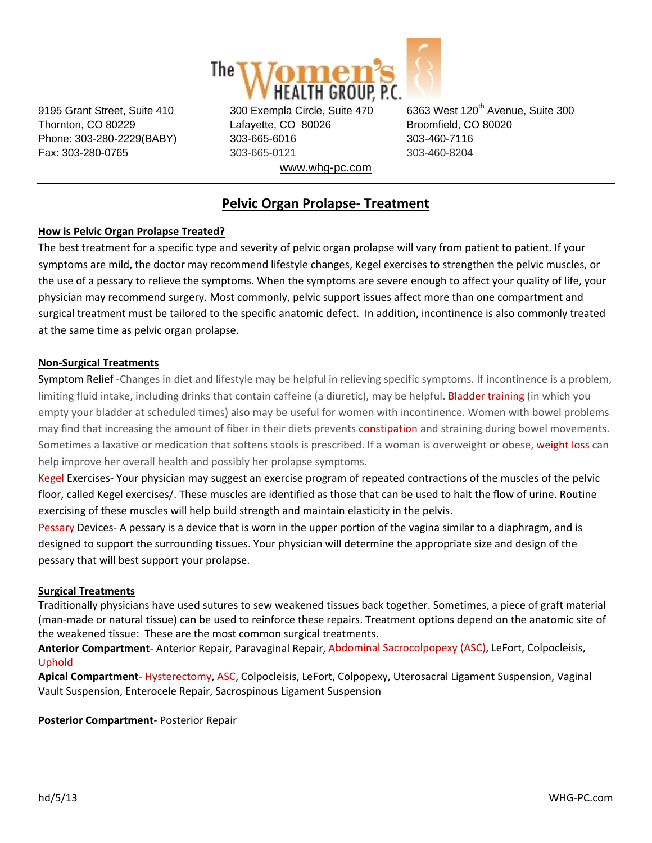

Thornton, CO 80229 Lafayette, CO 80026 Broomfield, CO 80020 Phone: 303-280-2229(BABY) 303-665-6016 303-460-7116 Fax: 303-280-0765 303-665-0121 303-460-8204 www.whg-pc.com

9195 Grant Street, Suite 410 300 Exempla Circle, Suite 470 6363 West 120<sup>th</sup> Avenue, Suite 300

# **Pelvic Organ Prolapse‐ Treatment**

### **How is Pelvic Organ Prolapse Treated?**

The best treatment for a specific type and severity of pelvic organ prolapse will vary from patient to patient. If your symptoms are mild, the doctor may recommend lifestyle changes, Kegel exercises to strengthen the pelvic muscles, or the use of a pessary to relieve the symptoms. When the symptoms are severe enough to affect your quality of life, your physician may recommend surgery. Most commonly, pelvic support issues affect more than one compartment and surgical treatment must be tailored to the specific anatomic defect. In addition, incontinence is also commonly treated at the same time as pelvic organ prolapse.

#### **Non‐Surgical Treatments**

Symptom Relief ‐Changes in diet and lifestyle may be helpful in relieving specific symptoms. If incontinence is a problem, limiting fluid intake, including drinks that contain caffeine (a diuretic), may be helpful. Bladder training (in which you empty your bladder at scheduled times) also may be useful for women with incontinence. Women with bowel problems may find that increasing the amount of fiber in their diets prevents constipation and straining during bowel movements. Sometimes a laxative or medication that softens stools is prescribed. If a woman is overweight or obese, weight loss can help improve her overall health and possibly her prolapse symptoms.

Kegel Exercises‐ Your physician may suggest an exercise program of repeated contractions of the muscles of the pelvic floor, called Kegel exercises/. These muscles are identified as those that can be used to halt the flow of urine. Routine exercising of these muscles will help build strength and maintain elasticity in the pelvis.

Pessary Devices- A pessary is a device that is worn in the upper portion of the vagina similar to a diaphragm, and is designed to support the surrounding tissues. Your physician will determine the appropriate size and design of the pessary that will best support your prolapse.

#### **Surgical Treatments**

Traditionally physicians have used sutures to sew weakened tissues back together. Sometimes, a piece of graft material (man‐made or natural tissue) can be used to reinforce these repairs. Treatment options depend on the anatomic site of the weakened tissue: These are the most common surgical treatments.

**Anterior Compartment**‐ Anterior Repair, Paravaginal Repair, Abdominal Sacrocolpopexy (ASC), LeFort, Colpocleisis, Uphold

**Apical Compartment**‐ Hysterectomy, ASC, Colpocleisis, LeFort, Colpopexy, Uterosacral Ligament Suspension, Vaginal Vault Suspension, Enterocele Repair, Sacrospinous Ligament Suspension

**Posterior Compartment**‐ Posterior Repair